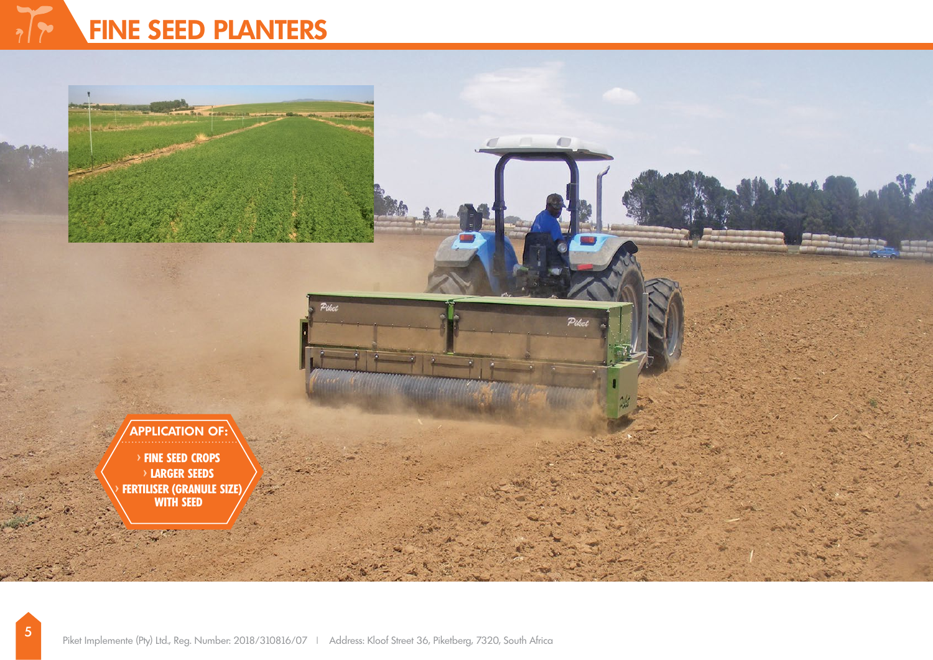# $\sqrt{2}$ **FINE SEED PLANTERS**

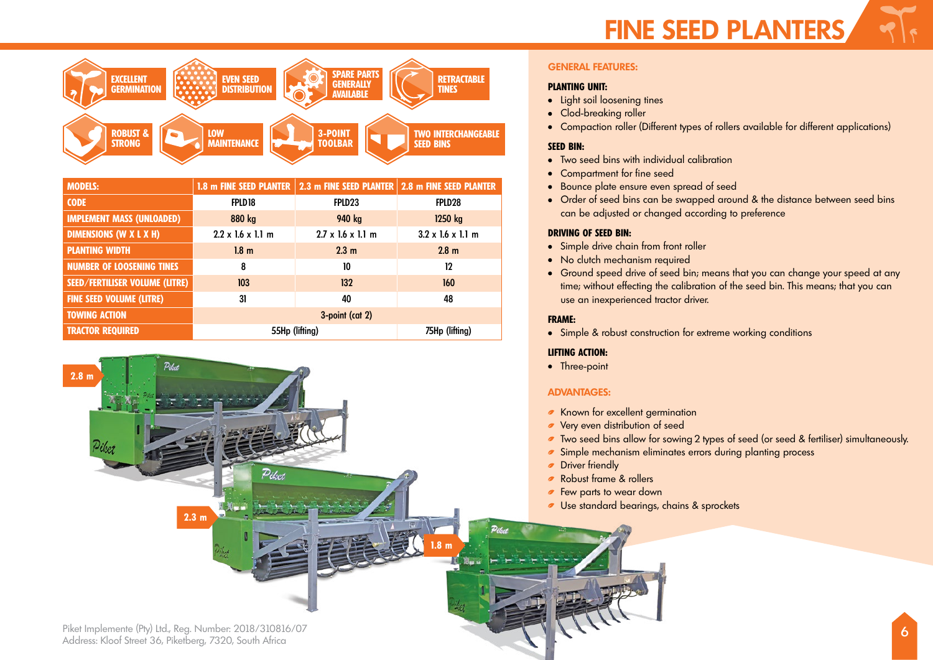

| <b>MODELS:</b>                        | 1.8 m FINE SEED PLANTER       |                                       | 2.3 m FINE SEED PLANTER 2.8 m FINE SEED PLANTER |
|---------------------------------------|-------------------------------|---------------------------------------|-------------------------------------------------|
| <b>CODE</b>                           | FPLD 18                       | FPLD <sub>23</sub>                    | FPLD <sub>28</sub>                              |
| <b>IMPLEMENT MASS (UNLOADED)</b>      | 880 kg                        | 940 kg                                | 1250 kg                                         |
| <b>DIMENSIONS (W X L X H)</b>         | $2.2 \times 1.6 \times 1.1$ m | $2.7 \times 1.6 \times 1.1 \text{ m}$ | $3.2 \times 1.6 \times 1.1$ m                   |
| <b>PLANTING WIDTH</b>                 | 1.8 <sub>m</sub>              | 2.3 <sub>m</sub>                      | 2.8 <sub>m</sub>                                |
| <b>NUMBER OF LOOSENING TINES</b>      | 8                             | 10                                    | 12                                              |
| <b>SEED/FERTILISER VOLUME (LITRE)</b> | 103                           | 132                                   | 160                                             |
| <b>FINE SEED VOLUME (LITRE)</b>       | 31                            | 40                                    | 48                                              |
| <b>TOWING ACTION</b>                  | 3-point (cat 2)               |                                       |                                                 |
| <b>TRACTOR REQUIRED</b>               | 55Hp (lifting)                |                                       | 75Hp (lifting)                                  |



Piket Implemente (Pty) Ltd., Reg. Number: 2018/310816/07 Address: Kloof Street 36, Piketberg, 7320, South Africa

### **GENERAL FEATURES:**

#### **PLANTING UNIT:**

- **.** Light soil loosening tines
- Clod-breaking roller
- Compaction roller (Different types of rollers available for different applications)

#### **SEED BIN:**

- Two seed bins with individual calibration
- Compartment for fine seed
- Bounce plate ensure even spread of seed
- Order of seed bins can be swapped around & the distance between seed bins can be adjusted or changed according to preference

#### **DRIVING OF SEED BIN:**

- Simple drive chain from front roller
- No clutch mechanism required
- Ground speed drive of seed bin; means that you can change your speed at any time; without effecting the calibration of the seed bin. This means; that you can use an inexperienced tractor driver.

### **FRAME:**

• Simple & robust construction for extreme working conditions

#### **LIFTING ACTION:**

• Three-point

# **ADVANTAGES:**

- **EXA** Known for excellent germination
- **v** Very even distribution of seed
- Two seed bins allow for sowing 2 types of seed (or seed & fertiliser) simultaneously.
- Simple mechanism eliminates errors during planting process
- **Driver friendly**
- Robust frame & rollers
- **Few parts to wear down**
- Use standard bearings, chains & sprockets